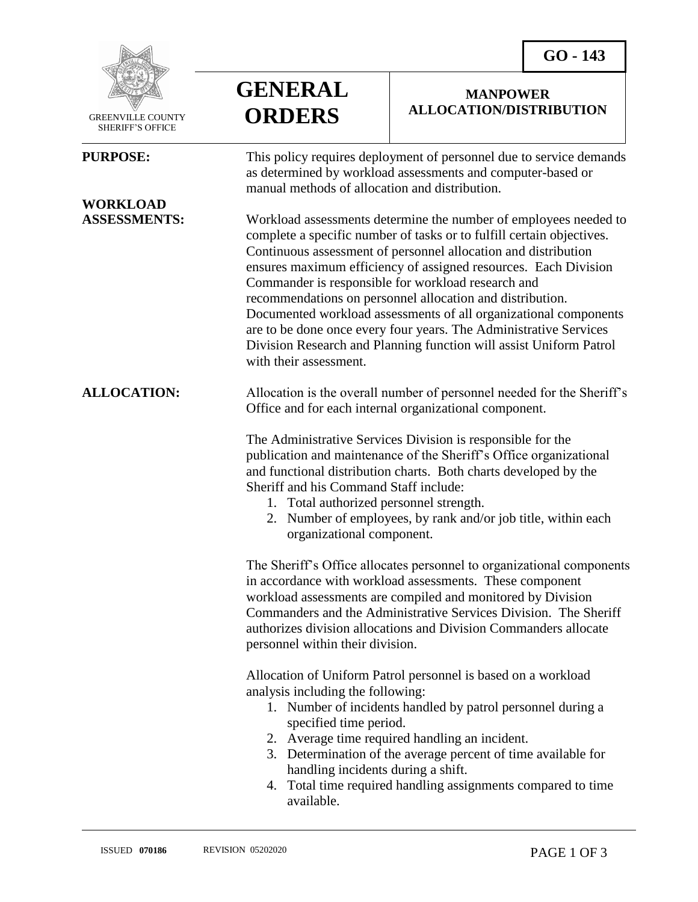**MANPOWER ALLOCATION/DISTRIBUTION**



 GREENVILLE COUNTY SHERIFF'S OFFICE

 $\overline{a}$ 

## **WORKLOAD**

**GENERAL ORDERS**

**PURPOSE:** This policy requires deployment of personnel due to service demands as determined by workload assessments and computer-based or manual methods of allocation and distribution.

**ASSESSMENTS:** Workload assessments determine the number of employees needed to complete a specific number of tasks or to fulfill certain objectives. Continuous assessment of personnel allocation and distribution ensures maximum efficiency of assigned resources. Each Division Commander is responsible for workload research and recommendations on personnel allocation and distribution. Documented workload assessments of all organizational components are to be done once every four years. The Administrative Services Division Research and Planning function will assist Uniform Patrol with their assessment.

**ALLOCATION:** Allocation is the overall number of personnel needed for the Sheriff's Office and for each internal organizational component.

> The Administrative Services Division is responsible for the publication and maintenance of the Sheriff's Office organizational and functional distribution charts. Both charts developed by the Sheriff and his Command Staff include:

- 1. Total authorized personnel strength.
- 2. Number of employees, by rank and/or job title, within each organizational component.

The Sheriff's Office allocates personnel to organizational components in accordance with workload assessments. These component workload assessments are compiled and monitored by Division Commanders and the Administrative Services Division. The Sheriff authorizes division allocations and Division Commanders allocate personnel within their division.

Allocation of Uniform Patrol personnel is based on a workload analysis including the following:

- 1. Number of incidents handled by patrol personnel during a specified time period.
- 2. Average time required handling an incident.
- 3. Determination of the average percent of time available for handling incidents during a shift.
- 4. Total time required handling assignments compared to time available.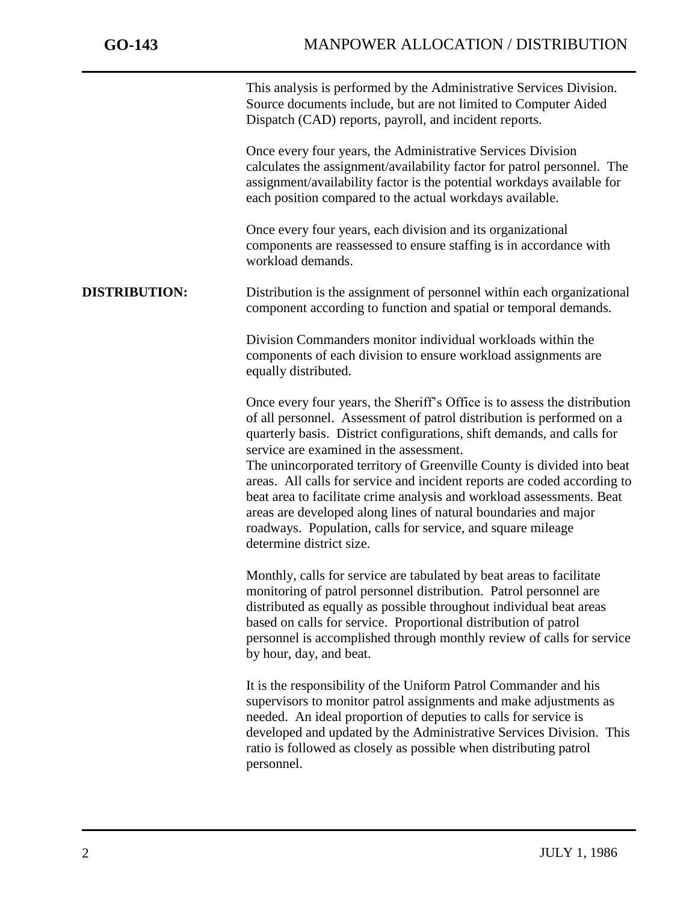j

This analysis is performed by the Administrative Services Division. Source documents include, but are not limited to Computer Aided Dispatch (CAD) reports, payroll, and incident reports.

Once every four years, the Administrative Services Division calculates the assignment/availability factor for patrol personnel. The assignment/availability factor is the potential workdays available for each position compared to the actual workdays available.

Once every four years, each division and its organizational components are reassessed to ensure staffing is in accordance with workload demands.

## **DISTRIBUTION:** Distribution is the assignment of personnel within each organizational component according to function and spatial or temporal demands.

Division Commanders monitor individual workloads within the components of each division to ensure workload assignments are equally distributed.

Once every four years, the Sheriff's Office is to assess the distribution of all personnel. Assessment of patrol distribution is performed on a quarterly basis. District configurations, shift demands, and calls for service are examined in the assessment.

The unincorporated territory of Greenville County is divided into beat areas. All calls for service and incident reports are coded according to beat area to facilitate crime analysis and workload assessments. Beat areas are developed along lines of natural boundaries and major roadways. Population, calls for service, and square mileage determine district size.

Monthly, calls for service are tabulated by beat areas to facilitate monitoring of patrol personnel distribution. Patrol personnel are distributed as equally as possible throughout individual beat areas based on calls for service. Proportional distribution of patrol personnel is accomplished through monthly review of calls for service by hour, day, and beat.

It is the responsibility of the Uniform Patrol Commander and his supervisors to monitor patrol assignments and make adjustments as needed. An ideal proportion of deputies to calls for service is developed and updated by the Administrative Services Division. This ratio is followed as closely as possible when distributing patrol personnel.